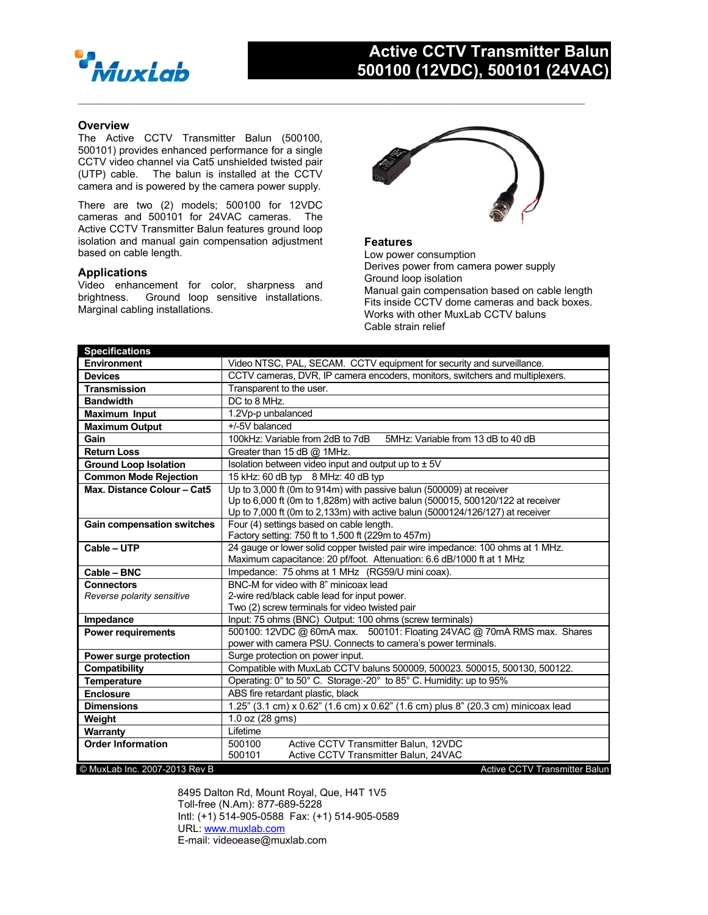

## **Active CCTV Transmitter Balun 500100 (12VDC), 500101 (24VAC)**

### **Overview**

The Active CCTV Transmitter Balun (500100, 500101) provides enhanced performance for a single CCTV video channel via Cat5 unshielded twisted pair (UTP) cable. The balun is installed at the CCTV camera and is powered by the camera power supply.

There are two (2) models; 500100 for 12VDC cameras and 500101 for 24VAC cameras. The Active CCTV Transmitter Balun features ground loop isolation and manual gain compensation adjustment based on cable length.

#### **Applications**

Video enhancement for color, sharpness and brightness. Ground loop sensitive installations. Marginal cabling installations.



#### **Features**

 $\mathcal{L}_\mathcal{L} = \{ \mathcal{L}_\mathcal{L} = \{ \mathcal{L}_\mathcal{L} = \{ \mathcal{L}_\mathcal{L} = \{ \mathcal{L}_\mathcal{L} = \{ \mathcal{L}_\mathcal{L} = \{ \mathcal{L}_\mathcal{L} = \{ \mathcal{L}_\mathcal{L} = \{ \mathcal{L}_\mathcal{L} = \{ \mathcal{L}_\mathcal{L} = \{ \mathcal{L}_\mathcal{L} = \{ \mathcal{L}_\mathcal{L} = \{ \mathcal{L}_\mathcal{L} = \{ \mathcal{L}_\mathcal{L} = \{ \mathcal{L}_\mathcal{$ 

Low power consumption Derives power from camera power supply Ground loop isolation Manual gain compensation based on cable length Fits inside CCTV dome cameras and back boxes. Works with other MuxLab CCTV baluns Cable strain relief

| <b>Specifications</b>             |                                                                                                                                                         |
|-----------------------------------|---------------------------------------------------------------------------------------------------------------------------------------------------------|
| Environment                       | Video NTSC, PAL, SECAM. CCTV equipment for security and surveillance.                                                                                   |
| <b>Devices</b>                    | CCTV cameras, DVR, IP camera encoders, monitors, switchers and multiplexers.                                                                            |
| <b>Transmission</b>               | Transparent to the user.                                                                                                                                |
| <b>Bandwidth</b>                  | DC to 8 MHz.                                                                                                                                            |
| <b>Maximum Input</b>              | 1.2Vp-p unbalanced                                                                                                                                      |
| <b>Maximum Output</b>             | +/-5V balanced                                                                                                                                          |
| Gain                              | 100kHz: Variable from 2dB to 7dB<br>5MHz: Variable from 13 dB to 40 dB                                                                                  |
| <b>Return Loss</b>                | Greater than 15 dB @ 1MHz.                                                                                                                              |
| <b>Ground Loop Isolation</b>      | Isolation between video input and output up to $\pm$ 5V                                                                                                 |
| <b>Common Mode Rejection</b>      | 15 kHz: 60 dB typ 8 MHz: 40 dB typ                                                                                                                      |
| Max. Distance Colour - Cat5       | Up to 3,000 ft (0m to 914m) with passive balun (500009) at receiver                                                                                     |
|                                   | Up to 6,000 ft (0m to 1,828m) with active balun (500015, 500120/122 at receiver                                                                         |
|                                   | Up to 7,000 ft (0m to 2,133m) with active balun (5000124/126/127) at receiver                                                                           |
| <b>Gain compensation switches</b> | Four (4) settings based on cable length.                                                                                                                |
|                                   | Factory setting: 750 ft to 1,500 ft (229m to 457m)                                                                                                      |
| Cable - UTP                       | 24 gauge or lower solid copper twisted pair wire impedance: 100 ohms at 1 MHz.<br>Maximum capacitance: 20 pf/foot. Attenuation: 6.6 dB/1000 ft at 1 MHz |
| Cable - BNC                       | Impedance: 75 ohms at 1 MHz (RG59/U mini coax).                                                                                                         |
| <b>Connectors</b>                 | BNC-M for video with 8" minicoax lead                                                                                                                   |
| Reverse polarity sensitive        | 2-wire red/black cable lead for input power.                                                                                                            |
|                                   | Two (2) screw terminals for video twisted pair                                                                                                          |
| Impedance                         | Input: 75 ohms (BNC) Output: 100 ohms (screw terminals)                                                                                                 |
| <b>Power requirements</b>         | 500100: 12VDC @ 60mA max. 500101: Floating 24VAC @ 70mA RMS max. Shares                                                                                 |
|                                   | power with camera PSU. Connects to camera's power terminals.                                                                                            |
| Power surge protection            | Surge protection on power input.                                                                                                                        |
| Compatibility                     | Compatible with MuxLab CCTV baluns 500009, 500023. 500015, 500130, 500122.                                                                              |
| <b>Temperature</b>                | Operating: 0° to 50° C. Storage:-20° to 85° C. Humidity: up to 95%                                                                                      |
| <b>Enclosure</b>                  | ABS fire retardant plastic, black                                                                                                                       |
| <b>Dimensions</b>                 | 1.25" (3.1 cm) x 0.62" (1.6 cm) x 0.62" (1.6 cm) plus 8" (20.3 cm) minicoax lead                                                                        |
| Weight                            | 1.0 oz (28 gms)                                                                                                                                         |
| Warranty                          | Lifetime                                                                                                                                                |
| <b>Order Information</b>          | Active CCTV Transmitter Balun, 12VDC<br>500100                                                                                                          |
|                                   | Active CCTV Transmitter Balun, 24VAC<br>500101                                                                                                          |
| © MuxLab Inc. 2007-2013 Rev B     | Active CCTV Transmitter Balun                                                                                                                           |

8495 Dalton Rd, Mount Royal, Que, H4T 1V5 Toll-free (N.Am): 877-689-5228 Intl: (+1) 514-905-0588 Fax: (+1) 514-905-0589 URL: www.muxlab.com E-mail: videoease@muxlab.com